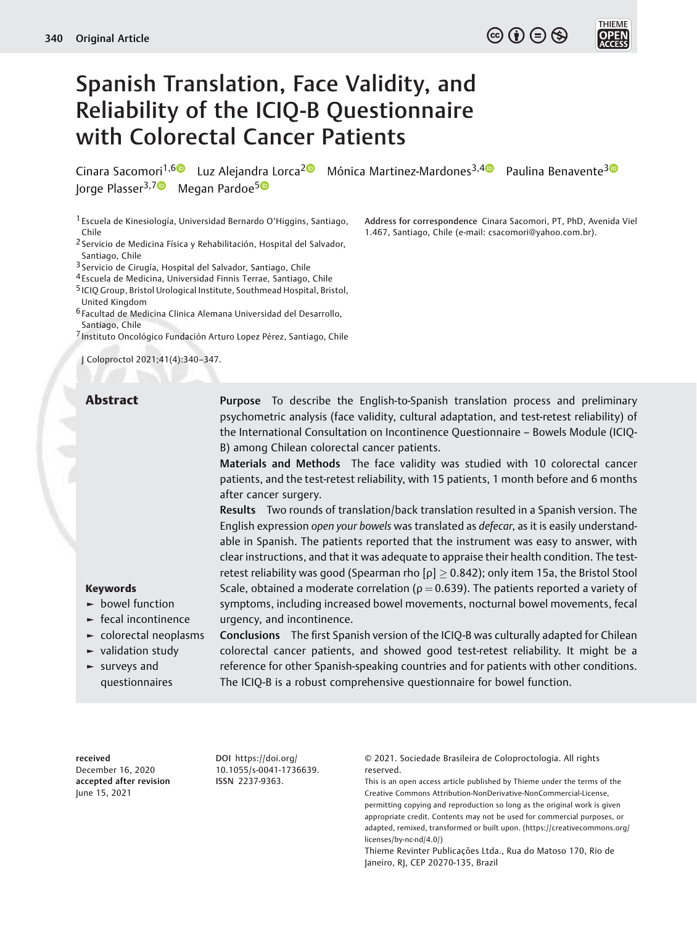# $\textcircled{\scriptsize{\textcircled{\tiny{F}}}}$   $\textcircled{\scriptsize{\textcircled{\tiny{F}}}}$   $\textcircled{\scriptsize{\textcircled{\tiny{F}}}}$



# Spanish Translation, Face Validity, and Reliability of the ICIQ-B Questionnaire with Colorectal Cancer Patients

Cinara Sacomori<sup>1,[6](https://orcid.org/0000-0002-7349-7850)</sup> Luz Alejandra Lorca<sup>2</sup> Mónica Martinez-Mardones<sup>[3](https://orcid.org/0000-0001-5356-7877),4</sup> Paulina Benavente<sup>3</sup> Jorge Plasser<sup>3,7</sup> Megan Pardoe<sup>50</sup>

1 Escuela de Kinesiología, Universidad Bernardo O'Higgins, Santiago, Chile

2 Servicio de Medicina Física y Rehabilitación, Hospital del Salvador, Santiago, Chile

3 Servicio de Cirugía, Hospital del Salvador, Santiago, Chile

4 Escuela de Medicina, Universidad Finnis Terrae, Santiago, Chile

5 ICIQ Group, Bristol Urological Institute, Southmead Hospital, Bristol, United Kingdom

6 Facultad de Medicina Clinica Alemana Universidad del Desarrollo, Santiago, Chile

7 Instituto Oncológico Fundación Arturo Lopez Pérez, Santiago, Chile

J Coloproctol 2021;41(4):340–347.

1.467, Santiago, Chile (e-mail: [csacomori@yahoo.com.br\)](mailto:csacomori@yahoo.com.br).

Address for correspondence Cinara Sacomori, PT, PhD, Avenida Viel

Abstract Purpose To describe the English-to-Spanish translation process and preliminary psychometric analysis (face validity, cultural adaptation, and test-retest reliability) of the International Consultation on Incontinence Questionnaire – Bowels Module (ICIQ-B) among Chilean colorectal cancer patients.

> Materials and Methods The face validity was studied with 10 colorectal cancer patients, and the test-retest reliability, with 15 patients, 1 month before and 6 months after cancer surgery.

> Results Two rounds of translation/back translation resulted in a Spanish version. The English expression open your bowels was translated as defecar, as it is easily understandable in Spanish. The patients reported that the instrument was easy to answer, with clear instructions, and that it was adequate to appraise their health condition. The testretest reliability was good (Spearman rho  $[\rho] \geq 0.842$ ); only item 15a, the Bristol Stool Scale, obtained a moderate correlation ( $\rho = 0.639$ ). The patients reported a variety of symptoms, including increased bowel movements, nocturnal bowel movements, fecal urgency, and incontinence.

► bowel function ► fecal incontinence

Keywords

- ► colorectal neoplasms
- ► validation study
- ► surveys and questionnaires

Conclusions The first Spanish version of the ICIQ-B was culturally adapted for Chilean colorectal cancer patients, and showed good test-retest reliability. It might be a reference for other Spanish-speaking countries and for patients with other conditions. The ICIQ-B is a robust comprehensive questionnaire for bowel function.

#### received

December 16, 2020 accepted after revision June 15, 2021

DOI [https://doi.org/](https://doi.org/10.1055/s-0041-1736639) [10.1055/s-0041-1736639](https://doi.org/10.1055/s-0041-1736639). ISSN 2237-9363.

© 2021. Sociedade Brasileira de Coloproctologia. All rights reserved.

This is an open access article published by Thieme under the terms of the Creative Commons Attribution-NonDerivative-NonCommercial-License, permitting copying and reproduction so long as the original work is given appropriate credit. Contents may not be used for commercial purposes, or adapted, remixed, transformed or built upon. (https://creativecommons.org/ licenses/by-nc-nd/4.0/)

Thieme Revinter Publicações Ltda., Rua do Matoso 170, Rio de Janeiro, RJ, CEP 20270-135, Brazil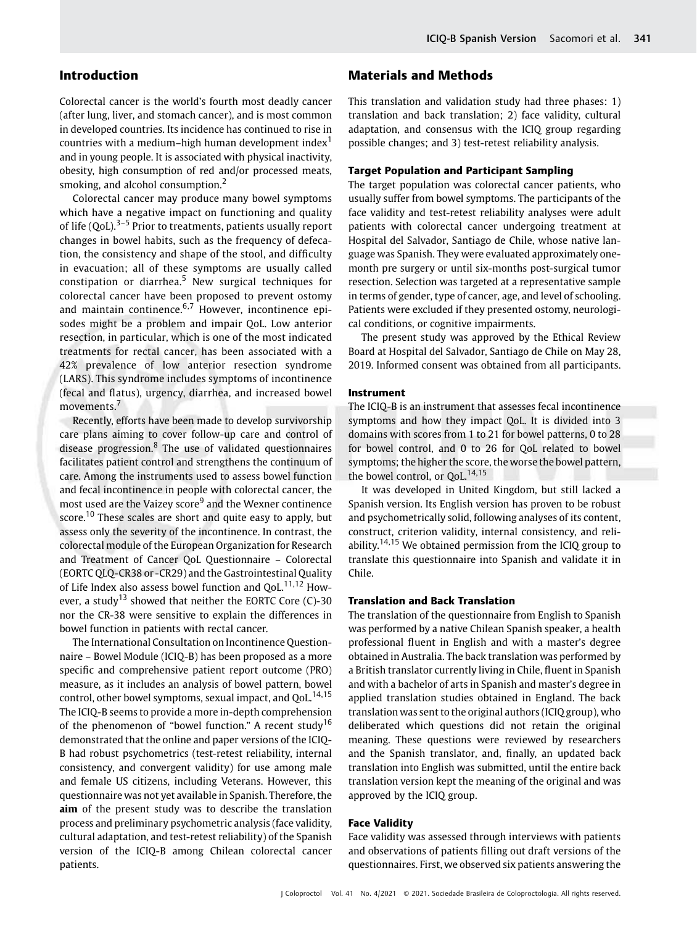# Introduction

Colorectal cancer is the world's fourth most deadly cancer (after lung, liver, and stomach cancer), and is most common in developed countries. Its incidence has continued to rise in countries with a medium–high human development index<sup>1</sup> and in young people. It is associated with physical inactivity, obesity, high consumption of red and/or processed meats, smoking, and alcohol consumption.<sup>2</sup>

Colorectal cancer may produce many bowel symptoms which have a negative impact on functioning and quality of life  $(QoL)$ <sup>3–5</sup> Prior to treatments, patients usually report changes in bowel habits, such as the frequency of defecation, the consistency and shape of the stool, and difficulty in evacuation; all of these symptoms are usually called constipation or diarrhea.<sup>5</sup> New surgical techniques for colorectal cancer have been proposed to prevent ostomy and maintain continence. $6.7$  However, incontinence episodes might be a problem and impair QoL. Low anterior resection, in particular, which is one of the most indicated treatments for rectal cancer, has been associated with a 42% prevalence of low anterior resection syndrome (LARS). This syndrome includes symptoms of incontinence (fecal and flatus), urgency, diarrhea, and increased bowel movements.<sup>7</sup>

Recently, efforts have been made to develop survivorship care plans aiming to cover follow-up care and control of disease progression. $8$  The use of validated questionnaires facilitates patient control and strengthens the continuum of care. Among the instruments used to assess bowel function and fecal incontinence in people with colorectal cancer, the most used are the Vaizey score<sup>9</sup> and the Wexner continence score.<sup>10</sup> These scales are short and quite easy to apply, but assess only the severity of the incontinence. In contrast, the colorectal module of the European Organization for Research and Treatment of Cancer QoL Questionnaire – Colorectal (EORTC QLQ-CR38 or -CR29) and the Gastrointestinal Quality of Life Index also assess bowel function and  $QoL$ <sup>11,12</sup> However, a study<sup>13</sup> showed that neither the EORTC Core  $(C)$ -30 nor the CR-38 were sensitive to explain the differences in bowel function in patients with rectal cancer.

The International Consultation on Incontinence Questionnaire – Bowel Module (ICIQ-B) has been proposed as a more specific and comprehensive patient report outcome (PRO) measure, as it includes an analysis of bowel pattern, bowel control, other bowel symptoms, sexual impact, and QoL.<sup>14,15</sup> The ICIQ-B seems to provide a more in-depth comprehension of the phenomenon of "bowel function." A recent study<sup>16</sup> demonstrated that the online and paper versions of the ICIQ-B had robust psychometrics (test-retest reliability, internal consistency, and convergent validity) for use among male and female US citizens, including Veterans. However, this questionnaire was not yet available in Spanish. Therefore, the aim of the present study was to describe the translation process and preliminary psychometric analysis (face validity, cultural adaptation, and test-retest reliability) of the Spanish version of the ICIQ-B among Chilean colorectal cancer patients.

# Materials and Methods

This translation and validation study had three phases: 1) translation and back translation; 2) face validity, cultural adaptation, and consensus with the ICIQ group regarding possible changes; and 3) test-retest reliability analysis.

#### Target Population and Participant Sampling

The target population was colorectal cancer patients, who usually suffer from bowel symptoms. The participants of the face validity and test-retest reliability analyses were adult patients with colorectal cancer undergoing treatment at Hospital del Salvador, Santiago de Chile, whose native language was Spanish. They were evaluated approximately onemonth pre surgery or until six-months post-surgical tumor resection. Selection was targeted at a representative sample in terms of gender, type of cancer, age, and level of schooling. Patients were excluded if they presented ostomy, neurological conditions, or cognitive impairments.

The present study was approved by the Ethical Review Board at Hospital del Salvador, Santiago de Chile on May 28, 2019. Informed consent was obtained from all participants.

### Instrument

The ICIQ-B is an instrument that assesses fecal incontinence symptoms and how they impact QoL. It is divided into 3 domains with scores from 1 to 21 for bowel patterns, 0 to 28 for bowel control, and 0 to 26 for QoL related to bowel symptoms; the higher the score, the worse the bowel pattern, the bowel control, or QoL.<sup>14,15</sup>

It was developed in United Kingdom, but still lacked a Spanish version. Its English version has proven to be robust and psychometrically solid, following analyses of its content, construct, criterion validity, internal consistency, and reliability.<sup>14,15</sup> We obtained permission from the ICIO group to translate this questionnaire into Spanish and validate it in Chile.

#### Translation and Back Translation

The translation of the questionnaire from English to Spanish was performed by a native Chilean Spanish speaker, a health professional fluent in English and with a master's degree obtained in Australia. The back translation was performed by a British translator currently living in Chile, fluent in Spanish and with a bachelor of arts in Spanish and master's degree in applied translation studies obtained in England. The back translation was sent to the original authors (ICIQ group), who deliberated which questions did not retain the original meaning. These questions were reviewed by researchers and the Spanish translator, and, finally, an updated back translation into English was submitted, until the entire back translation version kept the meaning of the original and was approved by the ICIQ group.

#### Face Validity

Face validity was assessed through interviews with patients and observations of patients filling out draft versions of the questionnaires. First, we observed six patients answering the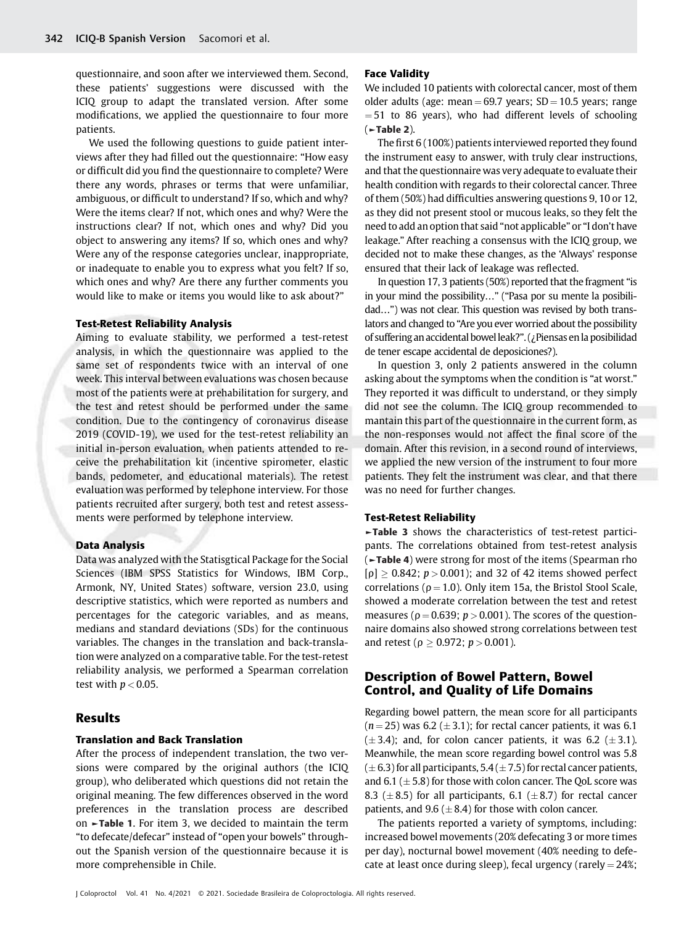questionnaire, and soon after we interviewed them. Second, these patients' suggestions were discussed with the ICIQ group to adapt the translated version. After some modifications, we applied the questionnaire to four more patients.

We used the following questions to guide patient interviews after they had filled out the questionnaire: "How easy or difficult did you find the questionnaire to complete? Were there any words, phrases or terms that were unfamiliar, ambiguous, or difficult to understand? If so, which and why? Were the items clear? If not, which ones and why? Were the instructions clear? If not, which ones and why? Did you object to answering any items? If so, which ones and why? Were any of the response categories unclear, inappropriate, or inadequate to enable you to express what you felt? If so, which ones and why? Are there any further comments you would like to make or items you would like to ask about?"

#### Test-Retest Reliability Analysis

Aiming to evaluate stability, we performed a test-retest analysis, in which the questionnaire was applied to the same set of respondents twice with an interval of one week. This interval between evaluations was chosen because most of the patients were at prehabilitation for surgery, and the test and retest should be performed under the same condition. Due to the contingency of coronavirus disease 2019 (COVID-19), we used for the test-retest reliability an initial in-person evaluation, when patients attended to receive the prehabilitation kit (incentive spirometer, elastic bands, pedometer, and educational materials). The retest evaluation was performed by telephone interview. For those patients recruited after surgery, both test and retest assessments were performed by telephone interview.

#### Data Analysis

Data was analyzed with the Statisgtical Package for the Social Sciences (IBM SPSS Statistics for Windows, IBM Corp., Armonk, NY, United States) software, version 23.0, using descriptive statistics, which were reported as numbers and percentages for the categoric variables, and as means, medians and standard deviations (SDs) for the continuous variables. The changes in the translation and back-translation were analyzed on a comparative table. For the test-retest reliability analysis, we performed a Spearman correlation test with  $p < 0.05$ .

# Results

#### Translation and Back Translation

After the process of independent translation, the two versions were compared by the original authors (the ICIQ group), who deliberated which questions did not retain the original meaning. The few differences observed in the word preferences in the translation process are described on ►Table 1. For item 3, we decided to maintain the term "to defecate/defecar" instead of "open your bowels" throughout the Spanish version of the questionnaire because it is more comprehensible in Chile.

#### Face Validity

We included 10 patients with colorectal cancer, most of them older adults (age: mean  $= 69.7$  years; SD  $= 10.5$  years; range  $=$  51 to 86 years), who had different levels of schooling (►Table 2).

The first 6 (100%) patients interviewed reported they found the instrument easy to answer, with truly clear instructions, and that the questionnaire was very adequate to evaluate their health condition with regards to their colorectal cancer. Three of them (50%) had difficulties answering questions 9, 10 or 12, as they did not present stool or mucous leaks, so they felt the need to add an option that said "not applicable" or "I don't have leakage." After reaching a consensus with the ICIQ group, we decided not to make these changes, as the 'Always' response ensured that their lack of leakage was reflected.

In question 17, 3 patients (50%) reported that the fragment "is in your mind the possibility…" ("Pasa por su mente la posibilidad…") was not clear. This question was revised by both translators and changed to "Are you ever worried about the possibility of suffering an accidental bowelleak?". (¿Piensas enla posibilidad de tener escape accidental de deposiciones?).

In question 3, only 2 patients answered in the column asking about the symptoms when the condition is "at worst." They reported it was difficult to understand, or they simply did not see the column. The ICIQ group recommended to mantain this part of the questionnaire in the current form, as the non-responses would not affect the final score of the domain. After this revision, in a second round of interviews, we applied the new version of the instrument to four more patients. They felt the instrument was clear, and that there was no need for further changes.

#### Test-Retest Reliability

►Table 3 shows the characteristics of test-retest participants. The correlations obtained from test-retest analysis (►Table 4) were strong for most of the items (Spearman rho  $[p] \geq 0.842$ ;  $p > 0.001$ ); and 32 of 42 items showed perfect correlations ( $p = 1.0$ ). Only item 15a, the Bristol Stool Scale, showed a moderate correlation between the test and retest measures ( $p = 0.639$ ;  $p > 0.001$ ). The scores of the questionnaire domains also showed strong correlations between test and retest ( $\rho \ge 0.972$ ;  $p > 0.001$ ).

# Description of Bowel Pattern, Bowel Control, and Quality of Life Domains

Regarding bowel pattern, the mean score for all participants  $(n = 25)$  was 6.2 ( $\pm$  3.1); for rectal cancer patients, it was 6.1  $(\pm 3.4)$ ; and, for colon cancer patients, it was 6.2 ( $\pm 3.1$ ). Meanwhile, the mean score regarding bowel control was 5.8  $(\pm 6.3)$  for all participants, 5.4 ( $\pm 7.5$ ) for rectal cancer patients, and 6.1 ( $\pm$  5.8) for those with colon cancer. The QoL score was 8.3 ( $\pm$  8.5) for all participants, 6.1 ( $\pm$  8.7) for rectal cancer patients, and 9.6 ( $\pm$  8.4) for those with colon cancer.

The patients reported a variety of symptoms, including: increased bowel movements (20% defecating 3 or more times per day), nocturnal bowel movement (40% needing to defecate at least once during sleep), fecal urgency (rarely  $=$  24%;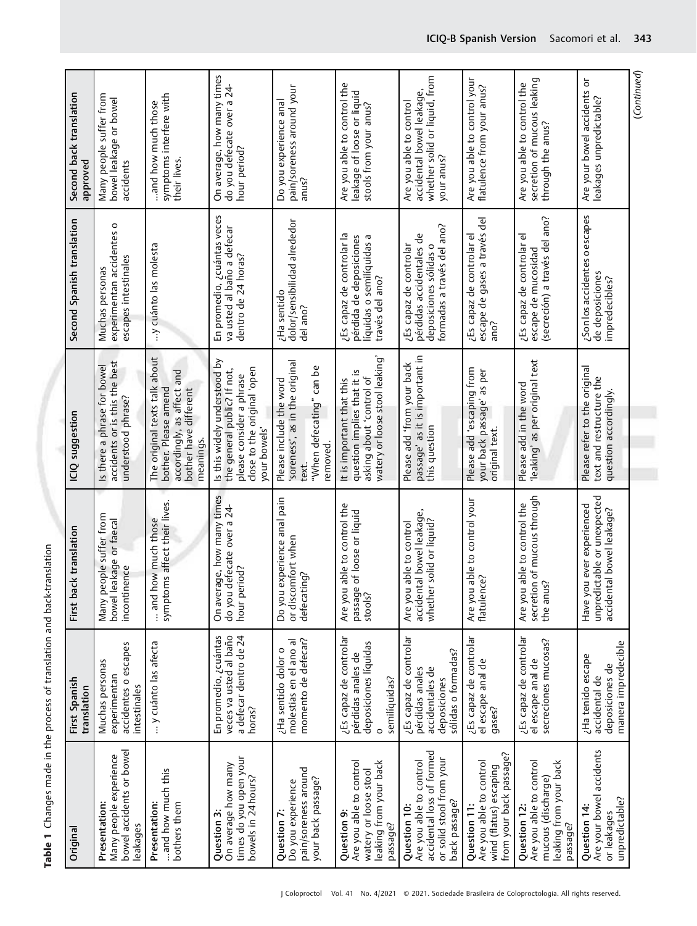| 1<br>1<br>1<br>i    |
|---------------------|
|                     |
| J                   |
| ı<br>.<br>!         |
| is an aid<br>١<br>ī |
|                     |

|                                                                         | Second back translation<br>approved | Many people suffer from<br>bowel leakage or bowel<br>accidents                     | symptoms interfere with<br>and how much those<br>their lives.                                                             | On average, how many times<br>do you defecate over a 24<br>hour period?                                                                | pain/soreness around your<br>Do you experience anal<br>anus?                                              | Are you able to control the<br>leakage of loose or liquid<br>stools from your anus?                                   | whether solid or liquid, from<br>accidental bowel leakage,<br>Are you able to control<br>your anus?               | Are you able to control your<br>flatulence from your anus?                                   | secretion of mucous leaking<br>Are you able to control the<br>through the anus?                    | Are your bowel accidents or<br>leakages unpredictable?                                | (Continued) |
|-------------------------------------------------------------------------|-------------------------------------|------------------------------------------------------------------------------------|---------------------------------------------------------------------------------------------------------------------------|----------------------------------------------------------------------------------------------------------------------------------------|-----------------------------------------------------------------------------------------------------------|-----------------------------------------------------------------------------------------------------------------------|-------------------------------------------------------------------------------------------------------------------|----------------------------------------------------------------------------------------------|----------------------------------------------------------------------------------------------------|---------------------------------------------------------------------------------------|-------------|
|                                                                         | Second Spanish translation          | experimentan accidentes o<br>escapes intestinales<br>Muchas personas               | y cuánto las molesta                                                                                                      | En promedio, ¿cuántas veces<br>va usted al baño a defecar<br>dentro de 24 horas?                                                       | dolor/sensibilidad alrededor<br>del ano?<br>¿Ha sentido                                                   | ¿Es capaz de controlar la<br>pérdida de deposiciones<br>líquidas o semilíquidas a<br>través del ano?                  | formadas a través del ano?<br>pérdidas accidentales de<br>deposiciones sólidas o<br>¿Es capaz de controlar        | escape de gases a través del<br>¿Es capaz de controlar el<br>sona                            | (secreción) a través del ano?<br>¿Es capaz de controlar el<br>escape de mucosidad                  | ¿Son los accidentes o escapes<br>de deposiciones<br>impredecibles?                    |             |
|                                                                         | ICIQ suggestion                     | accidents or is this the best<br>Is there a phrase for bowel<br>understood phrase? | The original texts talk about<br>accordingly, as affect and<br>bother. Please amend<br>bother have different<br>meanings. | Is this widely understood by<br>close to the original 'open<br>the general public? If not,<br>please consider a phrase<br>your bowels' | soreness', as in the original<br>"When defecating" can be<br>Please include the word<br>removed.<br>text. | watery or loose stool leaking<br>question implies that it is<br>asking about 'control of<br>It is important that this | $passage' as it is important inthis question$<br>Please add 'from your back                                       | Please add 'escaping from<br>your back passage' as per<br>original text.                     | Please add in the word<br>'leaking' as per original text                                           | Please refer to the original<br>text and restructure the<br>question accordingly.     |             |
|                                                                         | ck translation<br>First ba          | Many people suffer from<br>bowel leakage or faecal<br>incontinence                 | symptoms affect their lives.<br>and how much those                                                                        | On average, how many times<br>do you defecate over a 24-<br>hour period?                                                               | Do you experience anal pain<br>or discomfort when<br>defecating?                                          | able to control the<br>of loose or liquid<br>passage<br>stools?<br>Are you                                            | accidental bowel leakage,<br>whether solid or liquid?<br>able to control<br>Are you                               | Are you able to control your<br>flatulence?                                                  | secretion of mucous through<br>the anus?<br>able to control the<br>Are you                         | unpredictable or unexpected<br>Have you ever experienced<br>accidental bowel leakage? |             |
|                                                                         | First Spanish<br>translation        | accidentes o escapes<br>Muchas personas<br>experimentan<br>intestinales            | y cuánto las afecta                                                                                                       | En promedio, ¿cuántas<br>veces va usted al baño<br>a defecar dentro de 24<br>horas?                                                    | momento de defecar?<br>molestias en el ano al<br>¿Ha sentido dolor o                                      | ¿Es capaz de controlar<br>deposiciones líquidas<br>pérdidas anales de<br>semilíquidas?<br>$\circ$                     | ¿Es capaz de controlar<br>sólidas o formadas?<br>pérdidas anales<br>accidentales de<br>deposiciones               | ¿Es capaz de controlar<br>el escape anal de<br>gases?                                        | ¿Es capaz de controlar<br>el escape anal de<br>secreciones mucosas?                                | manera impredecible<br>¿Ha tenido escape<br>deposiciones de<br>accidental de          |             |
| Table 1 Changes made in the process of translation and back-translation | Origina                             | bowel accidents or bowel<br>Presentation:<br>Many people experience<br>leakages    | and how much this<br>Presentation:<br>bothers them                                                                        | times do you open your<br><b>Question 3:</b><br>On average how many<br>bowels in 24 hours?                                             | pain/soreness around<br>your back passage?<br>Question 7:<br>Do you experience                            | leaking from your back<br>Are you able to control<br>watery or loose stool<br>Question 9:<br>passage?                 | accidental loss of formed<br>or solid stool from your<br>Are you able to control<br>back passage?<br>Question 10: | from your back passage?<br>Are you able to control<br>wind (flatus) escaping<br>Question 11: | leaking from your back<br>Are you able to control<br>mucous (discharge)<br>Question 12<br>passage? | Are your bowel accidents<br>unpredictable?<br>Question 14:<br>or leakages             |             |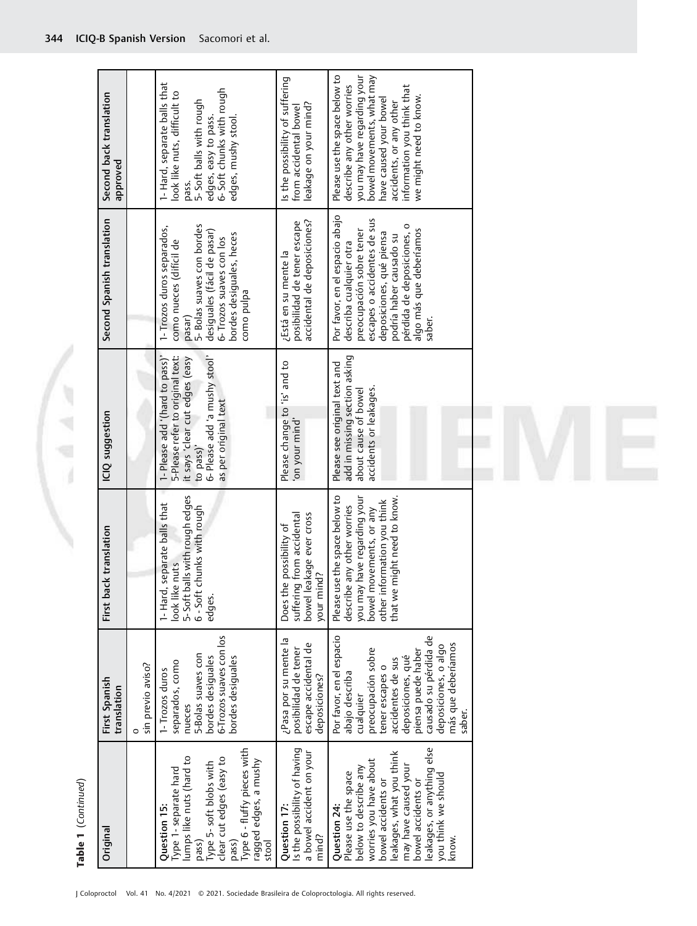Table 1 (Continued) Table 1 (Continued)

1

 $= 1.4$ 

 $\backslash$ 

| Second back translation<br>approved<br>Second Spanish translation<br>ICIQ suggestion |                        | I-Hard, separate balls that<br>edges, easy to pass.<br>6- Soft chunks with rough<br>look like nuts, difficult to<br>5- Soft balls with rough<br>edges, mushy stool.<br>pass.<br>5- Bolas suaves con bordes<br>1- Trozos duros separados,<br>desiguales (fácil de pasar)<br>bordes desiguales, heces<br>6- Trozos suaves con los<br>como nueces (difícil de<br>como pulpa<br>pasar)<br>6- Please add 'a mushy stool'<br>5-Please refer to original text:<br>1- Please add '(hard to pass)'<br>it says 'clear cut edges (easy<br>as per original text<br>to pass)' | Is the possibility of suffering<br>leakage on your mind?<br>from accidental bowel<br>accidental de deposiciones?<br>posibilidad de tener escape<br>¿Está en su mente la<br>Please change to 'is' and to<br>'on your mind' | you may have regarding your<br>Please use the space below to<br>bowel movements, what may<br>describe any other worries<br>information you think that<br>we might need to know.<br>have caused your bowel<br>accidents, or any other<br>Por favor, en el espacio abajo<br>escapes o accidentes de sus<br>pérdida de deposiciones, o<br>algo más que deberíamos<br>preocupación sobre tener<br>deposiciones, qué piensa<br>podría haber causado su<br>describa cualquier otra<br>saber.<br>add in missing section asking<br>Please see original text and<br>accidents or leakages.<br>about cause of bowel |  |
|--------------------------------------------------------------------------------------|------------------------|------------------------------------------------------------------------------------------------------------------------------------------------------------------------------------------------------------------------------------------------------------------------------------------------------------------------------------------------------------------------------------------------------------------------------------------------------------------------------------------------------------------------------------------------------------------|---------------------------------------------------------------------------------------------------------------------------------------------------------------------------------------------------------------------------|-----------------------------------------------------------------------------------------------------------------------------------------------------------------------------------------------------------------------------------------------------------------------------------------------------------------------------------------------------------------------------------------------------------------------------------------------------------------------------------------------------------------------------------------------------------------------------------------------------------|--|
| First back translation                                                               |                        | 5-Soft balls with rough edges<br>separate balls that<br>6 - Soft chunks with rough<br>look like nuts<br>l - Hard,<br>edges.                                                                                                                                                                                                                                                                                                                                                                                                                                      | suffering from accidental<br>bowel leakage ever cross<br>Does the possibility of<br>your mind?                                                                                                                            | Please use the space below to<br>might need to know.<br>you may have regarding your<br>other information you think<br>describe any other worries<br>bowel movements, or any<br>that we                                                                                                                                                                                                                                                                                                                                                                                                                    |  |
| First Spanish<br>translation                                                         | sin previo aviso?<br>0 | 6-Trozos suaves con los<br>5-Bolas suaves con<br>bordes desiguales<br>bordes desiguales<br>separados, como<br>1- Trozos duros<br>nueces                                                                                                                                                                                                                                                                                                                                                                                                                          | ¿Pasa por su mente la<br>escape accidental de<br>posibilidad de tener<br>deposiciones?                                                                                                                                    | Por favor, en el espacio<br>causado su pérdida de<br>más que deberíamos<br>deposiciones, o algo<br>preocupación sobre<br>piensa puede haber<br>deposiciones, qué<br>accidentes de sus<br>tener escapes o<br>abajo describa<br>cualquier<br>saber.                                                                                                                                                                                                                                                                                                                                                         |  |
| Original                                                                             |                        | Type 6 - fluffy pieces with<br>lumps like nuts (hard to<br>Type 5- soft blobs with<br>clear cut edges (easy to<br>ragged edges, a mushy<br>Type 1- separate hard<br>Question 15:<br>stool<br>pass)<br>pass)                                                                                                                                                                                                                                                                                                                                                      | Is the possibility of having<br>a bowel accident on your<br>Question 17:<br>mind?                                                                                                                                         | leakages, or anything else<br>leakages, what you think<br>worries you have about<br>may have caused your<br>below to describe any<br>Please use the space<br>you think we should<br>bowel accidents or<br>bowel accidents or<br>Question 24:<br>know.                                                                                                                                                                                                                                                                                                                                                     |  |

E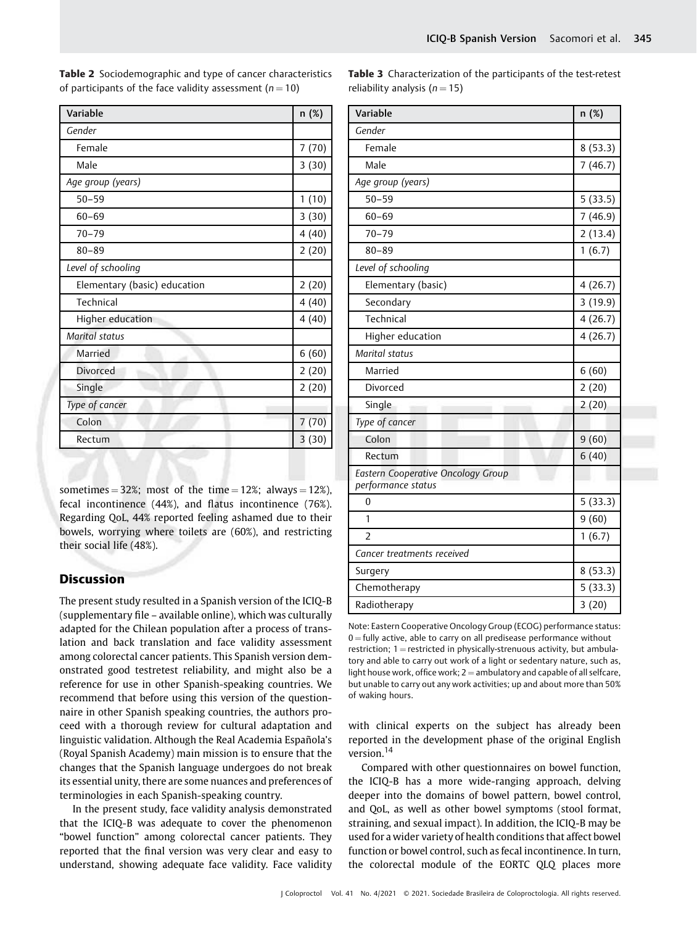| Variable                     | n (%) |
|------------------------------|-------|
| Gender                       |       |
| Female                       | 7(70) |
| Male                         | 3(30) |
| Age group (years)            |       |
| $50 - 59$                    | 1(10) |
| $60 - 69$                    | 3(30) |
| $70 - 79$                    | 4(40) |
| $80 - 89$                    | 2(20) |
| Level of schooling           |       |
| Elementary (basic) education | 2(20) |
| Technical                    | 4(40) |
| Higher education             | 4(40) |
| Marital status               |       |
| Married                      | 6(60) |
| <b>Divorced</b>              | 2(20) |
| Single                       | 2(20) |
| Type of cancer               |       |
| Colon                        | 7(70) |
| Rectum                       | 3(30) |
|                              |       |

Table 2 Sociodemographic and type of cancer characteristics of participants of the face validity assessment ( $n = 10$ )

sometimes = 32%; most of the time = 12%; always = 12%), fecal incontinence (44%), and flatus incontinence (76%). Regarding QoL, 44% reported feeling ashamed due to their bowels, worrying where toilets are (60%), and restricting their social life (48%).

# **Discussion**

The present study resulted in a Spanish version of the ICIQ-B (supplementary file – available online), which was culturally adapted for the Chilean population after a process of translation and back translation and face validity assessment among colorectal cancer patients. This Spanish version demonstrated good testretest reliability, and might also be a reference for use in other Spanish-speaking countries. We recommend that before using this version of the questionnaire in other Spanish speaking countries, the authors proceed with a thorough review for cultural adaptation and linguistic validation. Although the Real Academia Española's (Royal Spanish Academy) main mission is to ensure that the changes that the Spanish language undergoes do not break its essential unity, there are some nuances and preferences of terminologies in each Spanish-speaking country.

In the present study, face validity analysis demonstrated that the ICIQ-B was adequate to cover the phenomenon "bowel function" among colorectal cancer patients. They reported that the final version was very clear and easy to understand, showing adequate face validity. Face validity

|                               | <b>Table 3</b> Characterization of the participants of the test-retest |
|-------------------------------|------------------------------------------------------------------------|
| reliability analysis $(n=15)$ |                                                                        |

| Variable                                                        | n (%)   |
|-----------------------------------------------------------------|---------|
| Gender                                                          |         |
| Female                                                          | 8(53.3) |
| Male                                                            | 7(46.7) |
| Age group (years)                                               |         |
| $50 - 59$                                                       | 5(33.5) |
| $60 - 69$                                                       | 7(46.9) |
| $70 - 79$                                                       | 2(13.4) |
| $80 - 89$                                                       | 1(6.7)  |
| Level of schooling                                              |         |
| Elementary (basic)                                              | 4(26.7) |
| Secondary                                                       | 3(19.9) |
| Technical                                                       | 4(26.7) |
| Higher education                                                | 4(26.7) |
| Marital status                                                  |         |
| Married                                                         | 6(60)   |
| Divorced                                                        | 2(20)   |
| Single                                                          | 2(20)   |
| Type of cancer                                                  |         |
| Colon                                                           | 9(60)   |
| Rectum                                                          | 6(40)   |
| <b>Eastern Cooperative Oncology Group</b><br>performance status |         |
| $\mathbf{0}$                                                    | 5(33.3) |
| 1                                                               | 9(60)   |
| $\overline{\phantom{a}}$                                        | 1(6.7)  |
| Cancer treatments received                                      |         |
| Surgery                                                         | 8(53.3) |
| Chemotherapy                                                    | 5(33.3) |
| Radiotherapy                                                    | 3(20)   |

Note: Eastern Cooperative Oncology Group (ECOG) performance status:  $0 =$  fully active, able to carry on all predisease performance without restriction;  $1 =$  restricted in physically-strenuous activity, but ambulatory and able to carry out work of a light or sedentary nature, such as, light house work, office work;  $2 =$  ambulatory and capable of all selfcare, but unable to carry out any work activities; up and about more than 50% of waking hours.

with clinical experts on the subject has already been reported in the development phase of the original English version.<sup>14</sup>

Compared with other questionnaires on bowel function, the ICIQ-B has a more wide-ranging approach, delving deeper into the domains of bowel pattern, bowel control, and QoL, as well as other bowel symptoms (stool format, straining, and sexual impact). In addition, the ICIQ-B may be used for a wider variety of health conditions that affect bowel function or bowel control, such as fecal incontinence. In turn, the colorectal module of the EORTC QLQ places more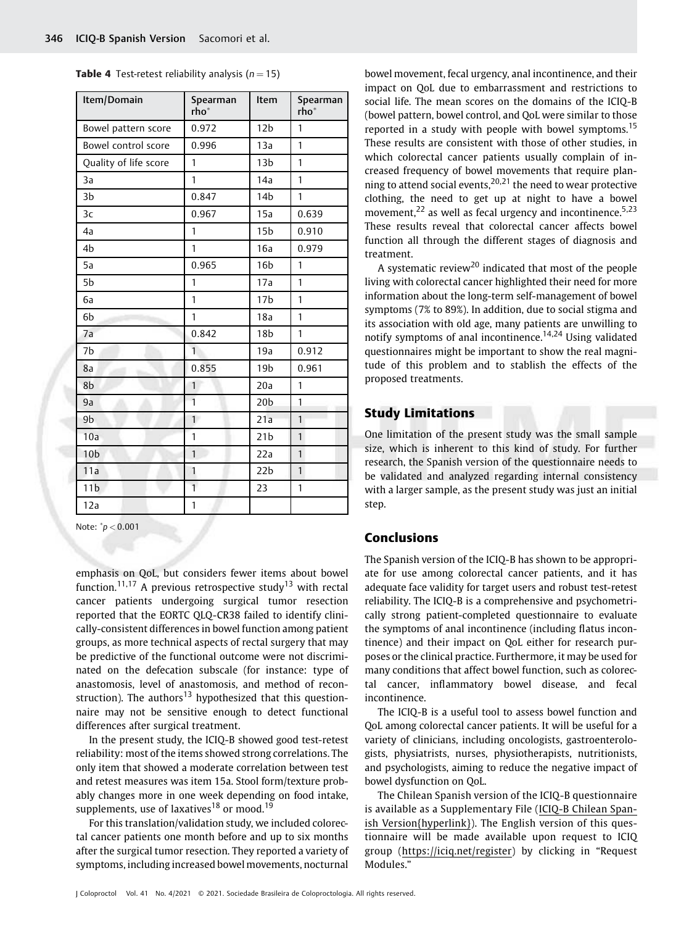**Table 4** Test-retest reliability analysis ( $n = 15$ )

| Item/Domain           | Spearman<br>rho* | Item            | Spearman<br>rho* |
|-----------------------|------------------|-----------------|------------------|
| Bowel pattern score   | 0.972            | 12 <sub>b</sub> | 1                |
| Bowel control score   | 0.996            | 13a             | $\mathbf{1}$     |
| Quality of life score | 1                | 13 <sub>b</sub> | $\mathbf{1}$     |
| 3a                    | 1                | 14a             | 1                |
| 3 <sub>b</sub>        | 0.847            | 14 <sub>b</sub> | 1                |
| 3 <sub>c</sub>        | 0.967            | 15a             | 0.639            |
| 4a                    | 1                | 15 <sub>b</sub> | 0.910            |
| 4b                    | 1                | 16a             | 0.979            |
| 5a                    | 0.965            | 16 <sub>b</sub> | 1                |
| 5b                    | 1                | 17a             | 1                |
| 6a                    | 1                | 17 <sub>b</sub> | 1                |
| 6b                    | 1                | 18a             | 1                |
| 7a                    | 0.842            | 18 <sub>b</sub> | 1                |
| 7 <sub>b</sub>        | 1                | 19a             | 0.912            |
| 8a                    | 0.855            | 19 <sub>b</sub> | 0.961            |
| 8b                    | 1                | 20a             | 1                |
| 9a                    | $\overline{1}$   | 20 <sub>b</sub> | $\mathbf{1}$     |
| 9 <sub>b</sub>        | $\mathbf{1}$     | 21a             | $\mathbf{1}$     |
| 10a                   | 1                | 21 <sub>b</sub> | $\mathbf{1}$     |
| 10 <sub>b</sub>       | $\mathbf{1}$     | 22a             | $\mathbf{1}$     |
| 11a                   | 1                | 22 <sub>b</sub> | $\mathbf{1}$     |
| 11 <sub>b</sub>       | $\mathbf{1}$     | 23              | $\mathbf{1}$     |
| 12a                   | 1                |                 |                  |

Note: \* $p < 0.001$ 

emphasis on QoL, but considers fewer items about bowel function.<sup>11,17</sup> A previous retrospective study<sup>13</sup> with rectal cancer patients undergoing surgical tumor resection reported that the EORTC QLQ-CR38 failed to identify clinically-consistent differences in bowel function among patient groups, as more technical aspects of rectal surgery that may be predictive of the functional outcome were not discriminated on the defecation subscale (for instance: type of anastomosis, level of anastomosis, and method of reconstruction). The authors<sup>13</sup> hypothesized that this questionnaire may not be sensitive enough to detect functional differences after surgical treatment.

In the present study, the ICIQ-B showed good test-retest reliability: most of the items showed strong correlations. The only item that showed a moderate correlation between test and retest measures was item 15a. Stool form/texture probably changes more in one week depending on food intake, supplements, use of laxatives<sup>18</sup> or mood.<sup>19</sup>

For this translation/validation study, we included colorectal cancer patients one month before and up to six months after the surgical tumor resection. They reported a variety of symptoms, including increased bowel movements, nocturnal bowel movement, fecal urgency, anal incontinence, and their impact on QoL due to embarrassment and restrictions to social life. The mean scores on the domains of the ICIQ-B (bowel pattern, bowel control, and QoL were similar to those reported in a study with people with bowel symptoms.<sup>15</sup> These results are consistent with those of other studies, in which colorectal cancer patients usually complain of increased frequency of bowel movements that require planning to attend social events,  $20,21$  the need to wear protective clothing, the need to get up at night to have a bowel movement, $^{22}$  as well as fecal urgency and incontinence.<sup>5,23</sup> These results reveal that colorectal cancer affects bowel function all through the different stages of diagnosis and treatment.

A systematic review<sup>20</sup> indicated that most of the people living with colorectal cancer highlighted their need for more information about the long-term self-management of bowel symptoms (7% to 89%). In addition, due to social stigma and its association with old age, many patients are unwilling to notify symptoms of anal incontinence.<sup>14,24</sup> Using validated questionnaires might be important to show the real magnitude of this problem and to stablish the effects of the proposed treatments.

# Study Limitations

One limitation of the present study was the small sample size, which is inherent to this kind of study. For further research, the Spanish version of the questionnaire needs to be validated and analyzed regarding internal consistency with a larger sample, as the present study was just an initial step.

# Conclusions

The Spanish version of the ICIQ-B has shown to be appropriate for use among colorectal cancer patients, and it has adequate face validity for target users and robust test-retest reliability. The ICIQ-B is a comprehensive and psychometrically strong patient-completed questionnaire to evaluate the symptoms of anal incontinence (including flatus incontinence) and their impact on QoL either for research purposes or the clinical practice. Furthermore, it may be used for many conditions that affect bowel function, such as colorectal cancer, inflammatory bowel disease, and fecal incontinence.

The ICIQ-B is a useful tool to assess bowel function and QoL among colorectal cancer patients. It will be useful for a variety of clinicians, including oncologists, gastroenterologists, physiatrists, nurses, physiotherapists, nutritionists, and psychologists, aiming to reduce the negative impact of bowel dysfunction on QoL.

The Chilean Spanish version of the ICIQ-B questionnaire is available as a Supplementary File (ICIQ-B Chilean Spanish Version{hyperlink}). The English version of this questionnaire will be made available upon request to ICIQ group ([https://iciq.net/register\) by clicking in](https://iciq.net/register) "Request Modules."